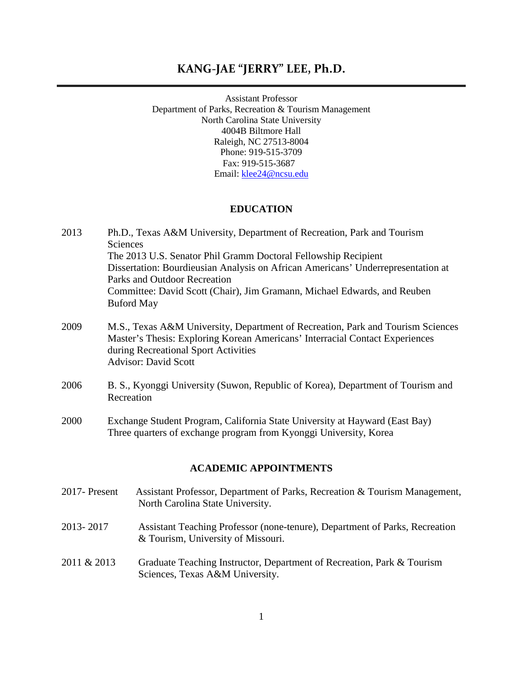# **KANG-JAE "JERRY" LEE, Ph.D.**

Assistant Professor Department of Parks, Recreation & Tourism Management North Carolina State University 4004B Biltmore Hall Raleigh, NC 27513-8004 Phone: 919-515-3709 Fax: 919-515-3687 Email: [klee24@ncsu.edu](mailto:klee24@ncsu.edu)

### **EDUCATION**

| Ph.D., Texas A&M University, Department of Recreation, Park and Tourism          |
|----------------------------------------------------------------------------------|
| <b>Sciences</b>                                                                  |
| The 2013 U.S. Senator Phil Gramm Doctoral Fellowship Recipient                   |
| Dissertation: Bourdieusian Analysis on African Americans' Underrepresentation at |
| Parks and Outdoor Recreation                                                     |
| Committee: David Scott (Chair), Jim Gramann, Michael Edwards, and Reuben         |
| <b>Buford May</b>                                                                |
|                                                                                  |

- 2009 M.S., Texas A&M University, Department of Recreation, Park and Tourism Sciences Master's Thesis: Exploring Korean Americans' Interracial Contact Experiences during Recreational Sport Activities Advisor: David Scott
- 2006 B. S., Kyonggi University (Suwon, Republic of Korea), Department of Tourism and Recreation
- 2000 Exchange Student Program, California State University at Hayward (East Bay) Three quarters of exchange program from Kyonggi University, Korea

#### **ACADEMIC APPOINTMENTS**

- 2017- Present Assistant Professor, Department of Parks, Recreation & Tourism Management, North Carolina State University.
- 2013- 2017 Assistant Teaching Professor (none-tenure), Department of Parks, Recreation & Tourism, University of Missouri.
- 2011 & 2013 Graduate Teaching Instructor, Department of Recreation, Park & Tourism Sciences, Texas A&M University.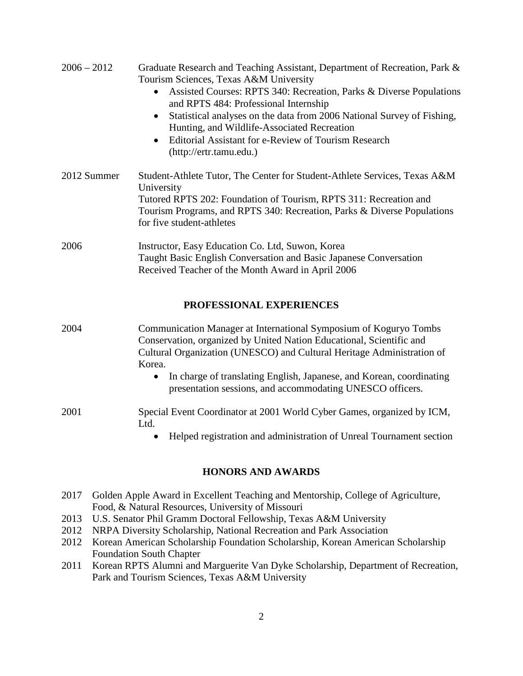| $2006 - 2012$       | Graduate Research and Teaching Assistant, Department of Recreation, Park &                                                                                                 |
|---------------------|----------------------------------------------------------------------------------------------------------------------------------------------------------------------------|
|                     | Tourism Sciences, Texas A&M University                                                                                                                                     |
|                     | Assisted Courses: RPTS 340: Recreation, Parks & Diverse Populations<br>and RPTS 484: Professional Internship                                                               |
|                     | Statistical analyses on the data from 2006 National Survey of Fishing,<br>Hunting, and Wildlife-Associated Recreation                                                      |
|                     | Editorial Assistant for e-Review of Tourism Research<br>$\bullet$<br>(http://ertr.tamu.edu.)                                                                               |
| 2012 Summer         | Student-Athlete Tutor, The Center for Student-Athlete Services, Texas A&M<br>University                                                                                    |
|                     | Tutored RPTS 202: Foundation of Tourism, RPTS 311: Recreation and<br>Tourism Programs, and RPTS 340: Recreation, Parks & Diverse Populations<br>for five student-athletes  |
| 2006                | Instructor, Easy Education Co. Ltd, Suwon, Korea<br>Taught Basic English Conversation and Basic Japanese Conversation<br>Received Teacher of the Month Award in April 2006 |
|                     | PROFESSIONAL EXPERIENCES                                                                                                                                                   |
| $\bigcap \bigcap A$ | $\alpha$ $\cdots$ $\alpha$ $\cdots$ $\alpha$ $\cdots$ $\alpha$                                                                                                             |

2004 Communication Manager at International Symposium of Koguryo Tombs Conservation, organized by United Nation Educational, Scientific and Cultural Organization (UNESCO) and Cultural Heritage Administration of Korea.

> • In charge of translating English, Japanese, and Korean, coordinating presentation sessions, and accommodating UNESCO officers.

### 2001 Special Event Coordinator at 2001 World Cyber Games, organized by ICM, Ltd.

• Helped registration and administration of Unreal Tournament section

### **HONORS AND AWARDS**

- 2017 Golden Apple Award in Excellent Teaching and Mentorship, College of Agriculture, Food, & Natural Resources, University of Missouri
- 2013 U.S. Senator Phil Gramm Doctoral Fellowship, Texas A&M University
- 2012 NRPA Diversity Scholarship, National Recreation and Park Association
- 2012 Korean American Scholarship Foundation Scholarship, Korean American Scholarship Foundation South Chapter
- 2011 Korean RPTS Alumni and Marguerite Van Dyke Scholarship, Department of Recreation, Park and Tourism Sciences, Texas A&M University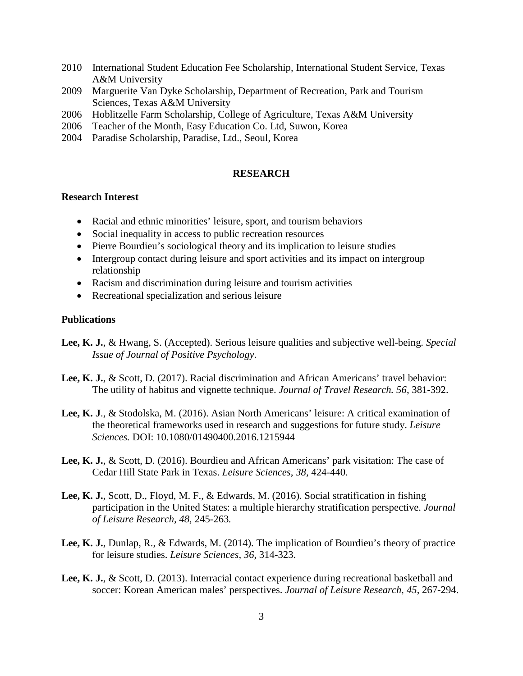- 2010 International Student Education Fee Scholarship, International Student Service, Texas A&M University
- 2009 Marguerite Van Dyke Scholarship, Department of Recreation, Park and Tourism Sciences, Texas A&M University
- 2006 Hoblitzelle Farm Scholarship, College of Agriculture, Texas A&M University
- 2006 Teacher of the Month, Easy Education Co. Ltd, Suwon, Korea
- 2004 Paradise Scholarship, Paradise, Ltd., Seoul, Korea

#### **RESEARCH**

### **Research Interest**

- Racial and ethnic minorities' leisure, sport, and tourism behaviors
- Social inequality in access to public recreation resources
- Pierre Bourdieu's sociological theory and its implication to leisure studies
- Intergroup contact during leisure and sport activities and its impact on intergroup relationship
- Racism and discrimination during leisure and tourism activities
- Recreational specialization and serious leisure

### **Publications**

- **Lee, K. J.**, & Hwang, S. (Accepted). Serious leisure qualities and subjective well-being. *Special Issue of Journal of Positive Psychology*.
- **Lee, K. J.**, & Scott, D. (2017). Racial discrimination and African Americans' travel behavior: The utility of habitus and vignette technique. *Journal of Travel Research. 56*, 381-392.
- **Lee, K. J**., & Stodolska, M. (2016). Asian North Americans' leisure: A critical examination of the theoretical frameworks used in research and suggestions for future study. *Leisure Sciences.* DOI: 10.1080/01490400.2016.1215944
- **Lee, K. J.**, & Scott, D. (2016). Bourdieu and African Americans' park visitation: The case of Cedar Hill State Park in Texas. *Leisure Sciences*, *38,* 424-440.
- **Lee, K. J.**, Scott, D., Floyd, M. F., & Edwards, M. (2016). Social stratification in fishing participation in the United States: a multiple hierarchy stratification perspective. *Journal of Leisure Research, 48,* 245-263*.*
- **Lee, K. J.**, Dunlap, R., & Edwards, M. (2014). The implication of Bourdieu's theory of practice for leisure studies. *Leisure Sciences, 36*, 314-323.
- **Lee, K. J.**, & Scott, D. (2013). Interracial contact experience during recreational basketball and soccer: Korean American males' perspectives. *Journal of Leisure Research*, *45*, 267-294.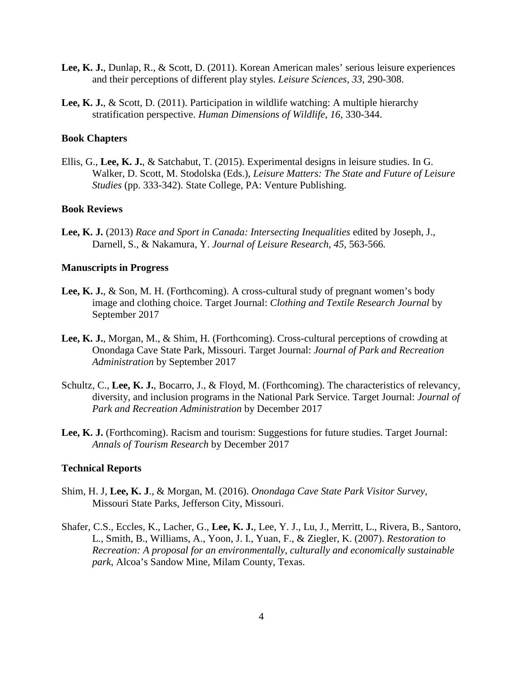- **Lee, K. J.**, Dunlap, R., & Scott, D. (2011). Korean American males' serious leisure experiences and their perceptions of different play styles. *Leisure Sciences, 33*, 290-308.
- **Lee, K. J.**, & Scott, D. (2011). Participation in wildlife watching: A multiple hierarchy stratification perspective. *Human Dimensions of Wildlife*, *16,* 330-344.

#### **Book Chapters**

Ellis, G., **Lee, K. J.**, & Satchabut, T. (2015). Experimental designs in leisure studies. In G. Walker, D. Scott, M. Stodolska (Eds.), *Leisure Matters: The State and Future of Leisure Studies* (pp. 333-342). State College, PA: Venture Publishing.

#### **Book Reviews**

**Lee, K. J.** (2013) *Race and Sport in Canada: Intersecting Inequalities* edited by Joseph, J., Darnell, S., & Nakamura, Y. *Journal of Leisure Research, 45,* 563-566*.*

#### **Manuscripts in Progress**

- **Lee, K. J.**, & Son, M. H. (Forthcoming). A cross-cultural study of pregnant women's body image and clothing choice. Target Journal: *Clothing and Textile Research Journal* by September 2017
- **Lee, K. J.**, Morgan, M., & Shim, H. (Forthcoming). Cross-cultural perceptions of crowding at Onondaga Cave State Park, Missouri. Target Journal: *Journal of Park and Recreation Administration* by September 2017
- Schultz, C., **Lee, K. J.**, Bocarro, J., & Floyd, M. (Forthcoming). The characteristics of relevancy, diversity, and inclusion programs in the National Park Service. Target Journal: *Journal of Park and Recreation Administration* by December 2017
- Lee, K. J. (Forthcoming). Racism and tourism: Suggestions for future studies. Target Journal: *Annals of Tourism Research* by December 2017

#### **Technical Reports**

- Shim, H. J, **Lee, K. J**., & Morgan, M. (2016). *Onondaga Cave State Park Visitor Survey,*  Missouri State Parks, Jefferson City, Missouri.
- Shafer, C.S., Eccles, K., Lacher, G., **Lee, K. J.**, Lee, Y. J., Lu, J., Merritt, L., Rivera, B., Santoro, L., Smith, B., Williams, A., Yoon, J. I., Yuan, F., & Ziegler, K. (2007). *Restoration to Recreation: A proposal for an environmentally, culturally and economically sustainable park*, Alcoa's Sandow Mine, Milam County, Texas.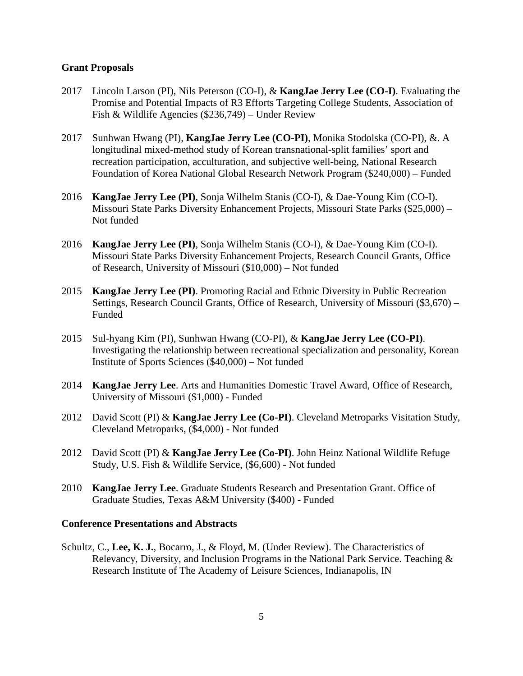#### **Grant Proposals**

- 2017 Lincoln Larson (PI), Nils Peterson (CO-I), & **KangJae Jerry Lee (CO-I)**. Evaluating the Promise and Potential Impacts of R3 Efforts Targeting College Students, Association of Fish & Wildlife Agencies (\$236,749) – Under Review
- 2017 Sunhwan Hwang (PI), **KangJae Jerry Lee (CO-PI)**, Monika Stodolska (CO-PI), &. A longitudinal mixed-method study of Korean transnational-split families' sport and recreation participation, acculturation, and subjective well-being, National Research Foundation of Korea National Global Research Network Program (\$240,000) – Funded
- 2016 **KangJae Jerry Lee (PI)**, Sonja Wilhelm Stanis (CO-I), & Dae-Young Kim (CO-I). Missouri State Parks Diversity Enhancement Projects, Missouri State Parks (\$25,000) – Not funded
- 2016 **KangJae Jerry Lee (PI)**, Sonja Wilhelm Stanis (CO-I), & Dae-Young Kim (CO-I). Missouri State Parks Diversity Enhancement Projects, Research Council Grants, Office of Research, University of Missouri (\$10,000) – Not funded
- 2015 **KangJae Jerry Lee (PI)**. Promoting Racial and Ethnic Diversity in Public Recreation Settings, Research Council Grants, Office of Research, University of Missouri (\$3,670) – Funded
- 2015 Sul-hyang Kim (PI), Sunhwan Hwang (CO-PI), & **KangJae Jerry Lee (CO-PI)**. Investigating the relationship between recreational specialization and personality, Korean Institute of Sports Sciences (\$40,000) – Not funded
- 2014 **KangJae Jerry Lee**. Arts and Humanities Domestic Travel Award, Office of Research, University of Missouri (\$1,000) - Funded
- 2012 David Scott (PI) & **KangJae Jerry Lee (Co-PI)**. Cleveland Metroparks Visitation Study, Cleveland Metroparks, (\$4,000) - Not funded
- 2012 David Scott (PI) & **KangJae Jerry Lee (Co-PI)**. John Heinz National Wildlife Refuge Study, U.S. Fish & Wildlife Service, (\$6,600) - Not funded
- 2010 **KangJae Jerry Lee**. Graduate Students Research and Presentation Grant. Office of Graduate Studies, Texas A&M University (\$400) - Funded

#### **Conference Presentations and Abstracts**

Schultz, C., **Lee, K. J.**, Bocarro, J., & Floyd, M. (Under Review). The Characteristics of Relevancy, Diversity, and Inclusion Programs in the National Park Service. Teaching & Research Institute of The Academy of Leisure Sciences, Indianapolis, IN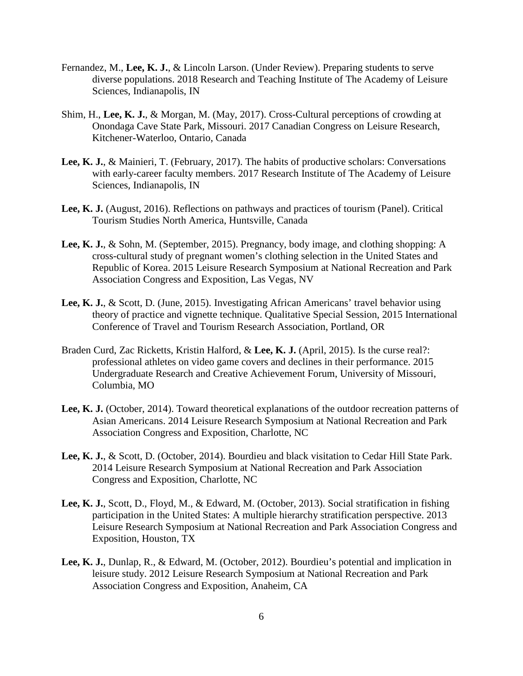- Fernandez, M., **Lee, K. J.**, & Lincoln Larson. (Under Review). Preparing students to serve diverse populations. 2018 Research and Teaching Institute of The Academy of Leisure Sciences, Indianapolis, IN
- Shim, H., **Lee, K. J.**, & Morgan, M. (May, 2017). Cross-Cultural perceptions of crowding at Onondaga Cave State Park, Missouri. 2017 Canadian Congress on Leisure Research, Kitchener-Waterloo, Ontario, Canada
- **Lee, K. J.**, & Mainieri, T. (February, 2017). The habits of productive scholars: Conversations with early-career faculty members. 2017 Research Institute of The Academy of Leisure Sciences, Indianapolis, IN
- **Lee, K. J.** (August, 2016). Reflections on pathways and practices of tourism (Panel). Critical Tourism Studies North America, Huntsville, Canada
- **Lee, K. J.**, & Sohn, M. (September, 2015). Pregnancy, body image, and clothing shopping: A cross-cultural study of pregnant women's clothing selection in the United States and Republic of Korea. 2015 Leisure Research Symposium at National Recreation and Park Association Congress and Exposition, Las Vegas, NV
- **Lee, K. J.**, & Scott, D. (June, 2015). Investigating African Americans' travel behavior using theory of practice and vignette technique. Qualitative Special Session, 2015 International Conference of Travel and Tourism Research Association, Portland, OR
- Braden Curd, Zac Ricketts, Kristin Halford, & **Lee, K. J.** (April, 2015). Is the curse real?: professional athletes on video game covers and declines in their performance. 2015 Undergraduate Research and Creative Achievement Forum, University of Missouri, Columbia, MO
- **Lee, K. J.** (October, 2014). Toward theoretical explanations of the outdoor recreation patterns of Asian Americans. 2014 Leisure Research Symposium at National Recreation and Park Association Congress and Exposition, Charlotte, NC
- **Lee, K. J.**, & Scott, D. (October, 2014). Bourdieu and black visitation to Cedar Hill State Park. 2014 Leisure Research Symposium at National Recreation and Park Association Congress and Exposition, Charlotte, NC
- **Lee, K. J.**, Scott, D., Floyd, M., & Edward, M. (October, 2013). Social stratification in fishing participation in the United States: A multiple hierarchy stratification perspective. 2013 Leisure Research Symposium at National Recreation and Park Association Congress and Exposition, Houston, TX
- **Lee, K. J.**, Dunlap, R., & Edward, M. (October, 2012). Bourdieu's potential and implication in leisure study. 2012 Leisure Research Symposium at National Recreation and Park Association Congress and Exposition, Anaheim, CA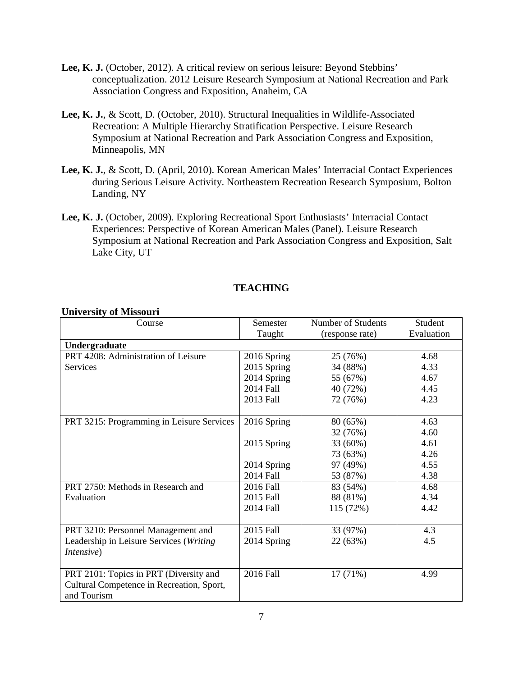- **Lee, K. J.** (October, 2012). A critical review on serious leisure: Beyond Stebbins' conceptualization. 2012 Leisure Research Symposium at National Recreation and Park Association Congress and Exposition, Anaheim, CA
- **Lee, K. J.**, & Scott, D. (October, 2010). Structural Inequalities in Wildlife-Associated Recreation: A Multiple Hierarchy Stratification Perspective. Leisure Research Symposium at National Recreation and Park Association Congress and Exposition, Minneapolis, MN
- **Lee, K. J.**, & Scott, D. (April, 2010). Korean American Males' Interracial Contact Experiences during Serious Leisure Activity. Northeastern Recreation Research Symposium, Bolton Landing, NY
- **Lee, K. J.** (October, 2009). Exploring Recreational Sport Enthusiasts' Interracial Contact Experiences: Perspective of Korean American Males (Panel). Leisure Research Symposium at National Recreation and Park Association Congress and Exposition, Salt Lake City, UT

# **TEACHING**

### **University of Missouri**

| Course                                    | Semester    | Number of Students | Student    |  |
|-------------------------------------------|-------------|--------------------|------------|--|
|                                           | Taught      | (response rate)    | Evaluation |  |
| Undergraduate                             |             |                    |            |  |
| PRT 4208: Administration of Leisure       | 2016 Spring | 25 (76%)           | 4.68       |  |
| <b>Services</b>                           | 2015 Spring | 34 (88%)           | 4.33       |  |
|                                           | 2014 Spring | 55 (67%)           | 4.67       |  |
|                                           | 2014 Fall   | 40 (72%)           | 4.45       |  |
|                                           | 2013 Fall   | 72 (76%)           | 4.23       |  |
|                                           |             |                    |            |  |
| PRT 3215: Programming in Leisure Services | 2016 Spring | 80 (65%)           | 4.63       |  |
|                                           |             | 32 (76%)           | 4.60       |  |
|                                           | 2015 Spring | 33 (60%)           | 4.61       |  |
|                                           |             | 73 (63%)           | 4.26       |  |
|                                           | 2014 Spring | 97 (49%)           | 4.55       |  |
|                                           | 2014 Fall   | 53 (87%)           | 4.38       |  |
| PRT 2750: Methods in Research and         | 2016 Fall   | 83 (54%)           | 4.68       |  |
| Evaluation                                | 2015 Fall   | 88 (81%)           | 4.34       |  |
|                                           | 2014 Fall   | 115 (72%)          | 4.42       |  |
|                                           |             |                    |            |  |
| PRT 3210: Personnel Management and        | 2015 Fall   | 33 (97%)           | 4.3        |  |
| Leadership in Leisure Services (Writing   | 2014 Spring | 22 (63%)           | 4.5        |  |
| <i>Intensive</i> )                        |             |                    |            |  |
|                                           |             |                    |            |  |
| PRT 2101: Topics in PRT (Diversity and    | 2016 Fall   | 17(71%)            | 4.99       |  |
| Cultural Competence in Recreation, Sport, |             |                    |            |  |
| and Tourism                               |             |                    |            |  |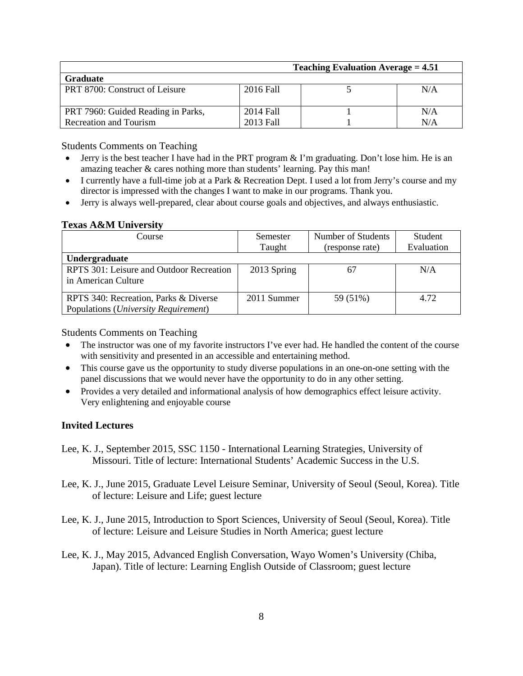| Teaching Evaluation Average $= 4.51$ |           |  |     |  |
|--------------------------------------|-----------|--|-----|--|
| <b>Graduate</b>                      |           |  |     |  |
| PRT 8700: Construct of Leisure       | 2016 Fall |  | N/A |  |
| PRT 7960: Guided Reading in Parks,   | 2014 Fall |  | N/A |  |
| <b>Recreation and Tourism</b>        | 2013 Fall |  | N/A |  |

Students Comments on Teaching

- Jerry is the best teacher I have had in the PRT program  $&$  I'm graduating. Don't lose him. He is an amazing teacher & cares nothing more than students' learning. Pay this man!
- I currently have a full-time job at a Park & Recreation Dept. I used a lot from Jerry's course and my director is impressed with the changes I want to make in our programs. Thank you.
- Jerry is always well-prepared, clear about course goals and objectives, and always enthusiastic.

#### **Texas A&M University**

| Course                                                                                 | Semester    | Number of Students | Student    |
|----------------------------------------------------------------------------------------|-------------|--------------------|------------|
|                                                                                        | Taught      | (response rate)    | Evaluation |
| Undergraduate                                                                          |             |                    |            |
| RPTS 301: Leisure and Outdoor Recreation<br>in American Culture                        | 2013 Spring | 67                 | N/A        |
| RPTS 340: Recreation, Parks & Diverse<br>Populations ( <i>University Requirement</i> ) | 2011 Summer | 59 (51%)           | 4.72       |

Students Comments on Teaching

- The instructor was one of my favorite instructors I've ever had. He handled the content of the course with sensitivity and presented in an accessible and entertaining method.
- This course gave us the opportunity to study diverse populations in an one-on-one setting with the panel discussions that we would never have the opportunity to do in any other setting.
- Provides a very detailed and informational analysis of how demographics effect leisure activity. Very enlightening and enjoyable course

### **Invited Lectures**

- Lee, K. J., September 2015, SSC 1150 International Learning Strategies, University of Missouri. Title of lecture: International Students' Academic Success in the U.S.
- Lee, K. J., June 2015, Graduate Level Leisure Seminar, University of Seoul (Seoul, Korea). Title of lecture: Leisure and Life; guest lecture
- Lee, K. J., June 2015, Introduction to Sport Sciences, University of Seoul (Seoul, Korea). Title of lecture: Leisure and Leisure Studies in North America; guest lecture
- Lee, K. J., May 2015, Advanced English Conversation, Wayo Women's University (Chiba, Japan). Title of lecture: Learning English Outside of Classroom; guest lecture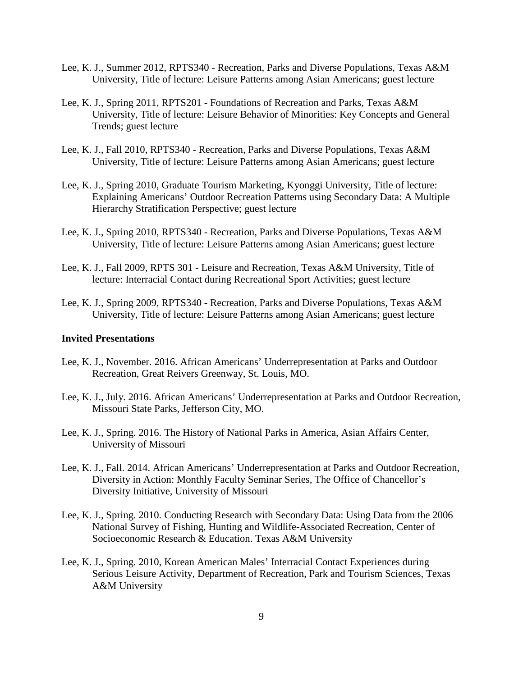- Lee, K. J., Summer 2012, RPTS340 Recreation, Parks and Diverse Populations, Texas A&M University, Title of lecture: Leisure Patterns among Asian Americans; guest lecture
- Lee, K. J., Spring 2011, RPTS201 Foundations of Recreation and Parks, Texas A&M University, Title of lecture: Leisure Behavior of Minorities: Key Concepts and General Trends; guest lecture
- Lee, K. J., Fall 2010, RPTS340 Recreation, Parks and Diverse Populations, Texas A&M University, Title of lecture: Leisure Patterns among Asian Americans; guest lecture
- Lee, K. J., Spring 2010, Graduate Tourism Marketing, Kyonggi University, Title of lecture: Explaining Americans' Outdoor Recreation Patterns using Secondary Data: A Multiple Hierarchy Stratification Perspective; guest lecture
- Lee, K. J., Spring 2010, RPTS340 Recreation, Parks and Diverse Populations, Texas A&M University, Title of lecture: Leisure Patterns among Asian Americans; guest lecture
- Lee, K. J., Fall 2009, RPTS 301 Leisure and Recreation, Texas A&M University, Title of lecture: Interracial Contact during Recreational Sport Activities; guest lecture
- Lee, K. J., Spring 2009, RPTS340 Recreation, Parks and Diverse Populations, Texas A&M University, Title of lecture: Leisure Patterns among Asian Americans; guest lecture

#### **Invited Presentations**

- Lee, K. J., November. 2016. African Americans' Underrepresentation at Parks and Outdoor Recreation, Great Reivers Greenway, St. Louis, MO.
- Lee, K. J., July. 2016. African Americans' Underrepresentation at Parks and Outdoor Recreation, Missouri State Parks, Jefferson City, MO.
- Lee, K. J., Spring. 2016. The History of National Parks in America, Asian Affairs Center, University of Missouri
- Lee, K. J., Fall. 2014. African Americans' Underrepresentation at Parks and Outdoor Recreation, Diversity in Action: Monthly Faculty Seminar Series, The Office of Chancellor's Diversity Initiative, University of Missouri
- Lee, K. J., Spring. 2010. Conducting Research with Secondary Data: Using Data from the 2006 National Survey of Fishing, Hunting and Wildlife-Associated Recreation, Center of Socioeconomic Research & Education. Texas A&M University
- Lee, K. J., Spring. 2010, Korean American Males' Interracial Contact Experiences during Serious Leisure Activity, Department of Recreation, Park and Tourism Sciences, Texas A&M University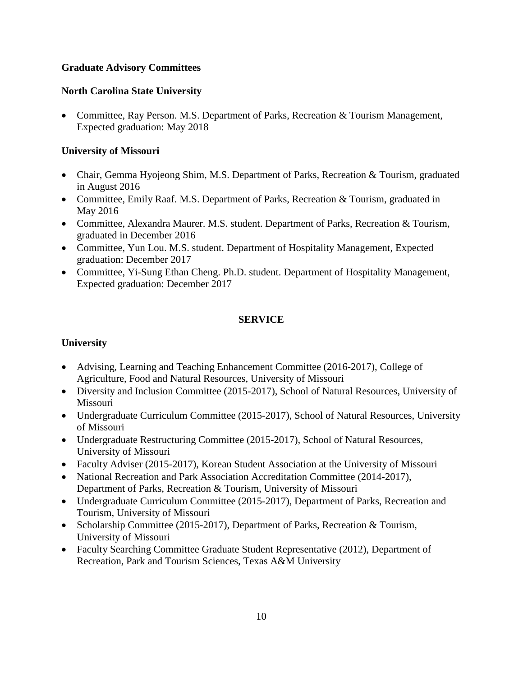# **Graduate Advisory Committees**

# **North Carolina State University**

• Committee, Ray Person, M.S. Department of Parks, Recreation & Tourism Management, Expected graduation: May 2018

# **University of Missouri**

- Chair, Gemma Hyojeong Shim, M.S. Department of Parks, Recreation & Tourism, graduated in August 2016
- Committee, Emily Raaf. M.S. Department of Parks, Recreation & Tourism, graduated in May 2016
- Committee, Alexandra Maurer. M.S. student. Department of Parks, Recreation & Tourism, graduated in December 2016
- Committee, Yun Lou. M.S. student. Department of Hospitality Management, Expected graduation: December 2017
- Committee, Yi-Sung Ethan Cheng. Ph.D. student. Department of Hospitality Management, Expected graduation: December 2017

# **SERVICE**

# **University**

- Advising, Learning and Teaching Enhancement Committee (2016-2017), College of Agriculture, Food and Natural Resources, University of Missouri
- Diversity and Inclusion Committee (2015-2017), School of Natural Resources, University of Missouri
- Undergraduate Curriculum Committee (2015-2017), School of Natural Resources, University of Missouri
- Undergraduate Restructuring Committee (2015-2017), School of Natural Resources, University of Missouri
- Faculty Adviser (2015-2017), Korean Student Association at the University of Missouri
- National Recreation and Park Association Accreditation Committee (2014-2017), Department of Parks, Recreation & Tourism, University of Missouri
- Undergraduate Curriculum Committee (2015-2017), Department of Parks, Recreation and Tourism, University of Missouri
- Scholarship Committee (2015-2017), Department of Parks, Recreation & Tourism, University of Missouri
- Faculty Searching Committee Graduate Student Representative (2012), Department of Recreation, Park and Tourism Sciences, Texas A&M University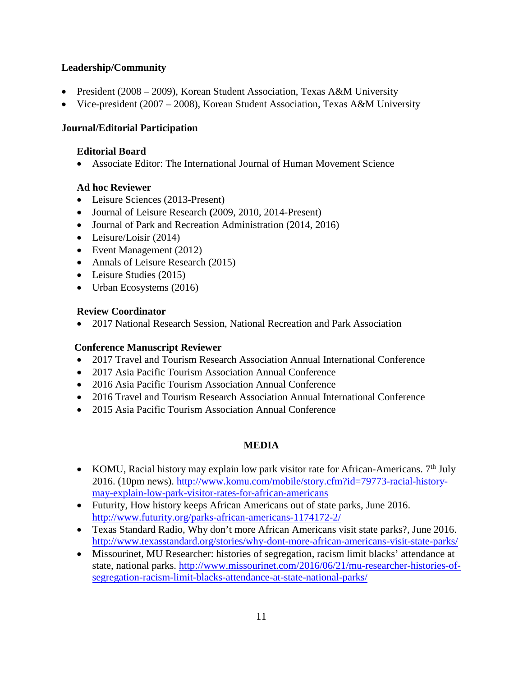# **Leadership/Community**

- President (2008 2009), Korean Student Association, Texas A&M University
- Vice-president (2007 2008), Korean Student Association, Texas A&M University

# **Journal/Editorial Participation**

## **Editorial Board**

• Associate Editor: The International Journal of Human Movement Science

# **Ad hoc Reviewer**

- Leisure Sciences (2013-Present)
- Journal of Leisure Research **(**2009, 2010, 2014-Present)
- Journal of Park and Recreation Administration (2014, 2016)
- Leisure/Loisir (2014)
- Event Management (2012)
- Annals of Leisure Research (2015)
- Leisure Studies (2015)
- Urban Ecosystems (2016)

### **Review Coordinator**

• 2017 National Research Session, National Recreation and Park Association

### **Conference Manuscript Reviewer**

- 2017 Travel and Tourism Research Association Annual International Conference
- 2017 Asia Pacific Tourism Association Annual Conference
- 2016 Asia Pacific Tourism Association Annual Conference
- 2016 Travel and Tourism Research Association Annual International Conference
- 2015 Asia Pacific Tourism Association Annual Conference

### **MEDIA**

- KOMU, Racial history may explain low park visitor rate for African-Americans.  $7<sup>th</sup>$  July 2016. (10pm news). [http://www.komu.com/mobile/story.cfm?id=79773-racial-history](http://www.komu.com/mobile/story.cfm?id=79773-racial-history-may-explain-low-park-visitor-rates-for-african-americans)[may-explain-low-park-visitor-rates-for-african-americans](http://www.komu.com/mobile/story.cfm?id=79773-racial-history-may-explain-low-park-visitor-rates-for-african-americans)
- Futurity, How history keeps African Americans out of state parks, June 2016. <http://www.futurity.org/parks-african-americans-1174172-2/>
- Texas Standard Radio, Why don't more African Americans visit state parks?, June 2016. <http://www.texasstandard.org/stories/why-dont-more-african-americans-visit-state-parks/>
- Missourinet, MU Researcher: histories of segregation, racism limit blacks' attendance at state, national parks. [http://www.missourinet.com/2016/06/21/mu-researcher-histories-of](http://www.missourinet.com/2016/06/21/mu-researcher-histories-of-segregation-racism-limit-blacks-attendance-at-state-national-parks/)[segregation-racism-limit-blacks-attendance-at-state-national-parks/](http://www.missourinet.com/2016/06/21/mu-researcher-histories-of-segregation-racism-limit-blacks-attendance-at-state-national-parks/)